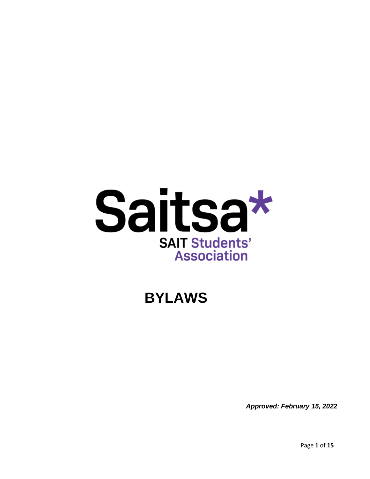

# **BYLAWS**

*Approved: February 15, 2022*

Page **1** of **15**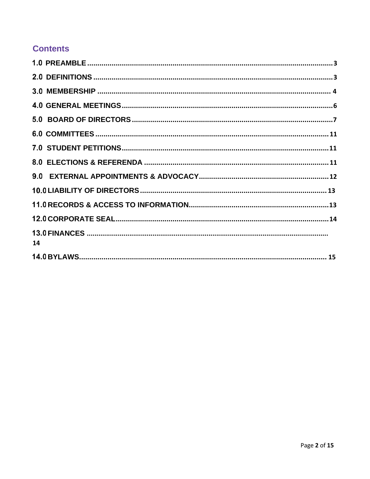### **Contents**

| 14 |  |
|----|--|
|    |  |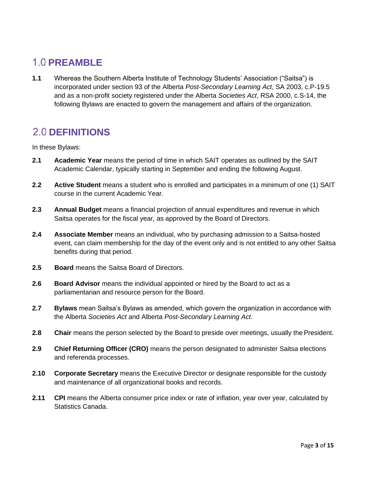# <span id="page-2-0"></span>**1.0 PREAMBLE**

**1.1** Whereas the Southern Alberta Institute of Technology Students' Association ("Saitsa") is incorporated under section 93 of the Alberta *Post-Secondary Learning Act*, SA 2003, c.P-19.5 and as a non-profit society registered under the Alberta *Societies Act*, RSA 2000, c.S-14, the following Bylaws are enacted to govern the management and affairs of the organization.

# <span id="page-2-1"></span>**2.0 DEFINITIONS**

In these Bylaws:

- **2.1 Academic Year** means the period of time in which SAIT operates as outlined by the SAIT Academic Calendar, typically starting in September and ending the following August.
- **2.2 Active Student** means a student who is enrolled and participates in a minimum of one (1) SAIT course in the current Academic Year.
- **2.3 Annual Budget** means a financial projection of annual expenditures and revenue in which Saitsa operates for the fiscal year, as approved by the Board of Directors.
- **2.4 Associate Member** means an individual, who by purchasing admission to a Saitsa-hosted event, can claim membership for the day of the event only and is not entitled to any other Saitsa benefits during that period.
- **2.5 Board** means the Saitsa Board of Directors.
- **2.6 Board Advisor** means the individual appointed or hired by the Board to act as a parliamentarian and resource person for the Board.
- **2.7 Bylaws** mean Saitsa's Bylaws as amended, which govern the organization in accordance with the Alberta *Societies Act* and Alberta *Post-Secondary Learning Act*.
- 2.8 Chair means the person selected by the Board to preside over meetings, usually the President.
- **2.9 Chief Returning Officer (CRO)** means the person designated to administer Saitsa elections and referenda processes.
- **2.10 Corporate Secretary** means the Executive Director or designate responsible for the custody and maintenance of all organizational books and records.
- **2.11 CPI** means the Alberta consumer price index or rate of inflation, year over year, calculated by Statistics Canada.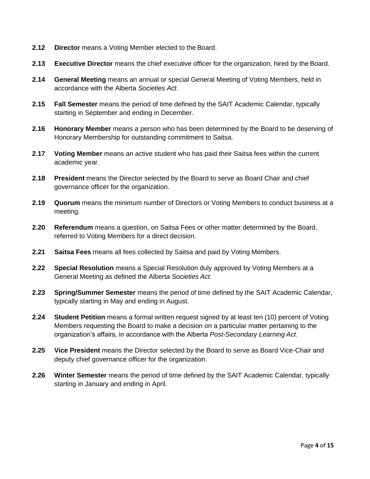- **2.12 Director** means a Voting Member elected to the Board.
- **2.13 Executive Director** means the chief executive officer for the organization, hired by the Board.
- **2.14 General Meeting** means an annual or special General Meeting of Voting Members, held in accordance with the Alberta *Societies Act*.
- **2.15 Fall Semester** means the period of time defined by the SAIT Academic Calendar, typically starting in September and ending in December.
- **2.16 Honorary Member** means a person who has been determined by the Board to be deserving of Honorary Membership for outstanding commitment to Saitsa.
- **2.17 Voting Member** means an active student who has paid their Saitsa fees within the current academic year.
- **2.18 President** means the Director selected by the Board to serve as Board Chair and chief governance officer for the organization.
- **2.19 Quorum** means the minimum number of Directors or Voting Members to conduct business at a meeting.
- **2.20 Referendum** means a question, on Saitsa Fees or other matter determined by the Board, referred to Voting Members for a direct decision.
- **2.21 Saitsa Fees** means all fees collected by Saitsa and paid by Voting Members.
- **2.22 Special Resolution** means a Special Resolution duly approved by Voting Members at a General Meeting as defined the Alberta *Societies Act*.
- **2.23 Spring/Summer Semester** means the period of time defined by the SAIT Academic Calendar, typically starting in May and ending in August.
- **2.24 Student Petition** means a formal written request signed by at least ten (10) percent of Voting Members requesting the Board to make a decision on a particular matter pertaining to the organization's affairs, in accordance with the Alberta *Post-Secondary Learning Act*.
- **2.25 Vice President** means the Director selected by the Board to serve as Board Vice-Chair and deputy chief governance officer for the organization.
- **2.26 Winter Semester** means the period of time defined by the SAIT Academic Calendar, typically starting in January and ending in April.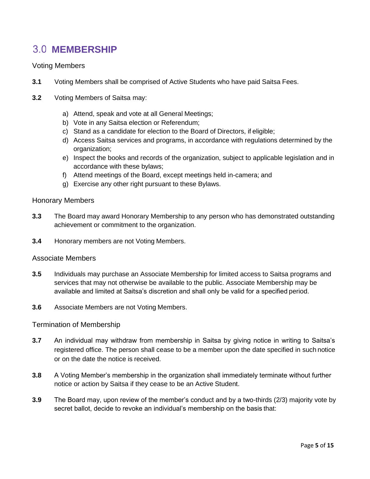# <span id="page-4-0"></span>**3.0 MEMBERSHIP**

### Voting Members

- **3.1** Voting Members shall be comprised of Active Students who have paid Saitsa Fees.
- **3.2** Voting Members of Saitsa may:
	- a) Attend, speak and vote at all General Meetings;
	- b) Vote in any Saitsa election or Referendum;
	- c) Stand as a candidate for election to the Board of Directors, if eligible;
	- d) Access Saitsa services and programs, in accordance with regulations determined by the organization;
	- e) Inspect the books and records of the organization, subject to applicable legislation and in accordance with these bylaws;
	- f) Attend meetings of the Board, except meetings held in-camera; and
	- g) Exercise any other right pursuant to these Bylaws.

#### Honorary Members

- **3.3** The Board may award Honorary Membership to any person who has demonstrated outstanding achievement or commitment to the organization.
- **3.4** Honorary members are not Voting Members.

#### Associate Members

- **3.5** Individuals may purchase an Associate Membership for limited access to Saitsa programs and services that may not otherwise be available to the public. Associate Membership may be available and limited at Saitsa's discretion and shall only be valid for a specified period.
- **3.6** Associate Members are not Voting Members.

#### Termination of Membership

- **3.7** An individual may withdraw from membership in Saitsa by giving notice in writing to Saitsa's registered office. The person shall cease to be a member upon the date specified in such notice or on the date the notice is received.
- **3.8** A Voting Member's membership in the organization shall immediately terminate without further notice or action by Saitsa if they cease to be an Active Student.
- **3.9** The Board may, upon review of the member's conduct and by a two-thirds (2/3) majority vote by secret ballot, decide to revoke an individual's membership on the basis that: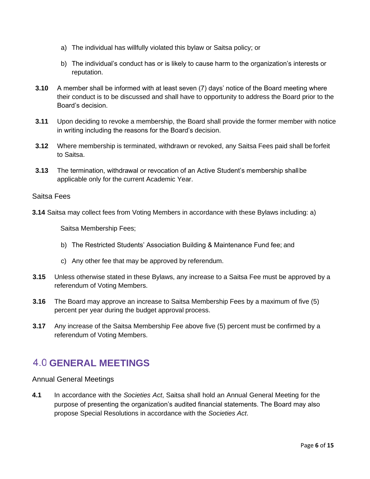- a) The individual has willfully violated this bylaw or Saitsa policy; or
- b) The individual's conduct has or is likely to cause harm to the organization's interests or reputation.
- **3.10** A member shall be informed with at least seven (7) days' notice of the Board meeting where their conduct is to be discussed and shall have to opportunity to address the Board prior to the Board's decision.
- **3.11** Upon deciding to revoke a membership, the Board shall provide the former member with notice in writing including the reasons for the Board's decision.
- **3.12** Where membership is terminated, withdrawn or revoked, any Saitsa Fees paid shall be forfeit to Saitsa.
- **3.13** The termination, withdrawal or revocation of an Active Student's membership shallbe applicable only for the current Academic Year.

### Saitsa Fees

**3.14** Saitsa may collect fees from Voting Members in accordance with these Bylaws including: a)

Saitsa Membership Fees;

- b) The Restricted Students' Association Building & Maintenance Fund fee; and
- c) Any other fee that may be approved by referendum.
- **3.15** Unless otherwise stated in these Bylaws, any increase to a Saitsa Fee must be approved by a referendum of Voting Members.
- **3.16** The Board may approve an increase to Saitsa Membership Fees by a maximum of five (5) percent per year during the budget approval process.
- **3.17** Any increase of the Saitsa Membership Fee above five (5) percent must be confirmed by a referendum of Voting Members.

## <span id="page-5-0"></span>**GENERAL MEETINGS**

Annual General Meetings

**4.1** In accordance with the *Societies Act*, Saitsa shall hold an Annual General Meeting for the purpose of presenting the organization's audited financial statements. The Board may also propose Special Resolutions in accordance with the *Societies Act*.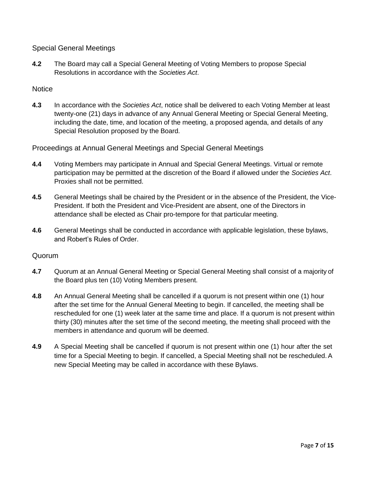Special General Meetings

**4.2** The Board may call a Special General Meeting of Voting Members to propose Special Resolutions in accordance with the *Societies Act*.

### **Notice**

**4.3** In accordance with the *Societies Act*, notice shall be delivered to each Voting Member at least twenty-one (21) days in advance of any Annual General Meeting or Special General Meeting, including the date, time, and location of the meeting, a proposed agenda, and details of any Special Resolution proposed by the Board.

Proceedings at Annual General Meetings and Special General Meetings

- **4.4** Voting Members may participate in Annual and Special General Meetings. Virtual or remote participation may be permitted at the discretion of the Board if allowed under the *Societies Act*. Proxies shall not be permitted.
- **4.5** General Meetings shall be chaired by the President or in the absence of the President, the Vice-President. If both the President and Vice-President are absent, one of the Directors in attendance shall be elected as Chair pro-tempore for that particular meeting.
- **4.6** General Meetings shall be conducted in accordance with applicable legislation, these bylaws, and Robert's Rules of Order.

### Quorum

- **4.7** Quorum at an Annual General Meeting or Special General Meeting shall consist of a majority of the Board plus ten (10) Voting Members present.
- **4.8** An Annual General Meeting shall be cancelled if a quorum is not present within one (1) hour after the set time for the Annual General Meeting to begin. If cancelled, the meeting shall be rescheduled for one (1) week later at the same time and place. If a quorum is not present within thirty (30) minutes after the set time of the second meeting, the meeting shall proceed with the members in attendance and quorum will be deemed.
- **4.9** A Special Meeting shall be cancelled if quorum is not present within one (1) hour after the set time for a Special Meeting to begin. If cancelled, a Special Meeting shall not be rescheduled.A new Special Meeting may be called in accordance with these Bylaws.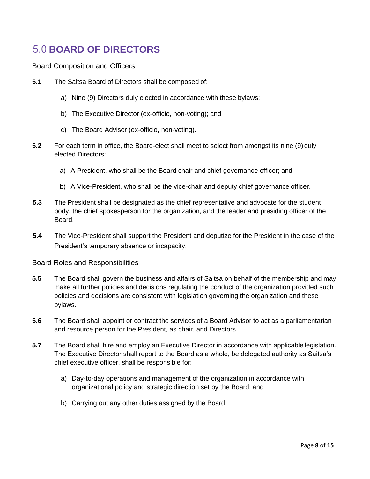# <span id="page-7-0"></span>**BOARD OF DIRECTORS**

Board Composition and Officers

- **5.1** The Saitsa Board of Directors shall be composed of:
	- a) Nine (9) Directors duly elected in accordance with these bylaws;
	- b) The Executive Director (ex-officio, non-voting); and
	- c) The Board Advisor (ex-officio, non-voting).
- **5.2** For each term in office, the Board-elect shall meet to select from amongst its nine (9) duly elected Directors:
	- a) A President, who shall be the Board chair and chief governance officer; and
	- b) A Vice-President, who shall be the vice-chair and deputy chief governance officer.
- **5.3** The President shall be designated as the chief representative and advocate for the student body, the chief spokesperson for the organization, and the leader and presiding officer of the Board.
- **5.4** The Vice-President shall support the President and deputize for the President in the case of the President's temporary absence or incapacity.

Board Roles and Responsibilities

- **5.5** The Board shall govern the business and affairs of Saitsa on behalf of the membership and may make all further policies and decisions regulating the conduct of the organization provided such policies and decisions are consistent with legislation governing the organization and these bylaws.
- **5.6** The Board shall appoint or contract the services of a Board Advisor to act as a parliamentarian and resource person for the President, as chair, and Directors.
- **5.7** The Board shall hire and employ an Executive Director in accordance with applicable legislation. The Executive Director shall report to the Board as a whole, be delegated authority as Saitsa's chief executive officer, shall be responsible for:
	- a) Day-to-day operations and management of the organization in accordance with organizational policy and strategic direction set by the Board; and
	- b) Carrying out any other duties assigned by the Board.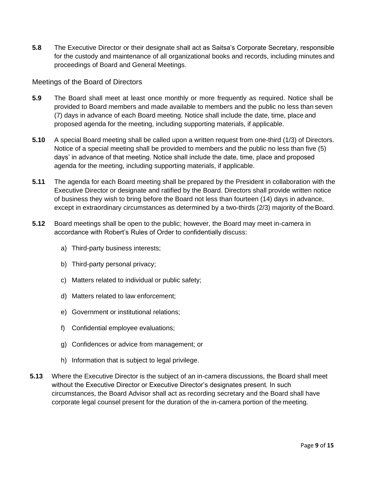**5.8** The Executive Director or their designate shall act as Saitsa's Corporate Secretary, responsible for the custody and maintenance of all organizational books and records, including minutes and proceedings of Board and General Meetings.

### Meetings of the Board of Directors

- **5.9** The Board shall meet at least once monthly or more frequently as required. Notice shall be provided to Board members and made available to members and the public no less than seven (7) days in advance of each Board meeting. Notice shall include the date, time, place and proposed agenda for the meeting, including supporting materials, if applicable.
- **5.10** A special Board meeting shall be called upon a written request from one-third (1/3) of Directors. Notice of a special meeting shall be provided to members and the public no less than five (5) days' in advance of that meeting. Notice shall include the date, time, place and proposed agenda for the meeting, including supporting materials, if applicable.
- **5.11** The agenda for each Board meeting shall be prepared by the President in collaboration with the Executive Director or designate and ratified by the Board. Directors shall provide written notice of business they wish to bring before the Board not less than fourteen (14) days in advance, except in extraordinary circumstances as determined by a two-thirds (2/3) majority of the Board.
- **5.12** Board meetings shall be open to the public; however, the Board may meet in-camera in accordance with Robert's Rules of Order to confidentially discuss:
	- a) Third-party business interests;
	- b) Third-party personal privacy;
	- c) Matters related to individual or public safety;
	- d) Matters related to law enforcement;
	- e) Government or institutional relations;
	- f) Confidential employee evaluations;
	- g) Confidences or advice from management; or
	- h) Information that is subject to legal privilege.
- **5.13** Where the Executive Director is the subject of an in-camera discussions, the Board shall meet without the Executive Director or Executive Director's designates present. In such circumstances, the Board Advisor shall act as recording secretary and the Board shall have corporate legal counsel present for the duration of the in-camera portion of the meeting.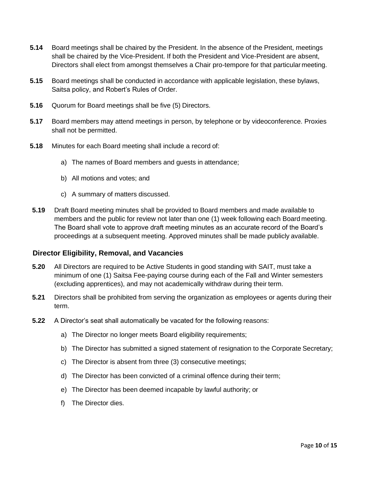- **5.14** Board meetings shall be chaired by the President. In the absence of the President, meetings shall be chaired by the Vice-President. If both the President and Vice-President are absent, Directors shall elect from amongst themselves a Chair pro-tempore for that particular meeting.
- **5.15** Board meetings shall be conducted in accordance with applicable legislation, these bylaws, Saitsa policy, and Robert's Rules of Order.
- **5.16** Quorum for Board meetings shall be five (5) Directors.
- **5.17** Board members may attend meetings in person, by telephone or by videoconference. Proxies shall not be permitted.
- **5.18** Minutes for each Board meeting shall include a record of:
	- a) The names of Board members and guests in attendance;
	- b) All motions and votes; and
	- c) A summary of matters discussed.
- **5.19** Draft Board meeting minutes shall be provided to Board members and made available to members and the public for review not later than one (1) week following each Board meeting. The Board shall vote to approve draft meeting minutes as an accurate record of the Board's proceedings at a subsequent meeting. Approved minutes shall be made publicly available.

### **Director Eligibility, Removal, and Vacancies**

- **5.20** All Directors are required to be Active Students in good standing with SAIT, must take a minimum of one (1) Saitsa Fee-paying course during each of the Fall and Winter semesters (excluding apprentices), and may not academically withdraw during their term.
- **5.21** Directors shall be prohibited from serving the organization as employees or agents during their term.
- **5.22** A Director's seat shall automatically be vacated for the following reasons:
	- a) The Director no longer meets Board eligibility requirements;
	- b) The Director has submitted a signed statement of resignation to the Corporate Secretary;
	- c) The Director is absent from three (3) consecutive meetings;
	- d) The Director has been convicted of a criminal offence during their term;
	- e) The Director has been deemed incapable by lawful authority; or
	- f) The Director dies.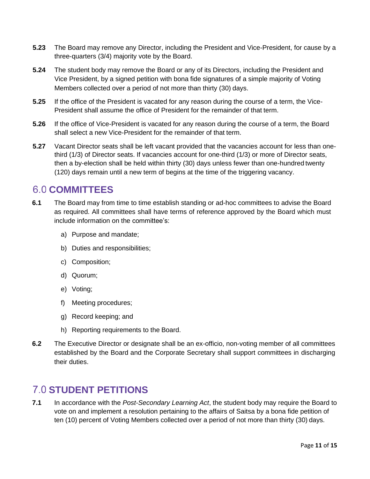- **5.23** The Board may remove any Director, including the President and Vice-President, for cause by a three-quarters (3/4) majority vote by the Board.
- **5.24** The student body may remove the Board or any of its Directors, including the President and Vice President, by a signed petition with bona fide signatures of a simple majority of Voting Members collected over a period of not more than thirty (30) days.
- **5.25** If the office of the President is vacated for any reason during the course of a term, the Vice-President shall assume the office of President for the remainder of that term.
- **5.26** If the office of Vice-President is vacated for any reason during the course of a term, the Board shall select a new Vice-President for the remainder of that term.
- **5.27** Vacant Director seats shall be left vacant provided that the vacancies account for less than onethird (1/3) of Director seats. If vacancies account for one-third (1/3) or more of Director seats, then a by-election shall be held within thirty (30) days unless fewer than one-hundred twenty (120) days remain until a new term of begins at the time of the triggering vacancy.

### <span id="page-10-0"></span>**COMMITTEES**

- **6.1** The Board may from time to time establish standing or ad-hoc committees to advise the Board as required. All committees shall have terms of reference approved by the Board which must include information on the committee's:
	- a) Purpose and mandate;
	- b) Duties and responsibilities;
	- c) Composition;
	- d) Quorum;
	- e) Voting;
	- f) Meeting procedures;
	- g) Record keeping; and
	- h) Reporting requirements to the Board.
- **6.2** The Executive Director or designate shall be an ex-officio, non-voting member of all committees established by the Board and the Corporate Secretary shall support committees in discharging their duties.

### <span id="page-10-1"></span>**STUDENT PETITIONS**

**7.1** In accordance with the *Post-Secondary Learning Act*, the student body may require the Board to vote on and implement a resolution pertaining to the affairs of Saitsa by a bona fide petition of ten (10) percent of Voting Members collected over a period of not more than thirty (30) days.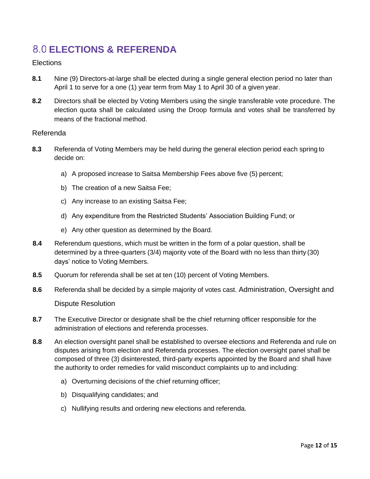# <span id="page-11-0"></span>**ELECTIONS & REFERENDA**

### **Elections**

- **8.1** Nine (9) Directors-at-large shall be elected during a single general election period no later than April 1 to serve for a one (1) year term from May 1 to April 30 of a given year.
- **8.2** Directors shall be elected by Voting Members using the single transferable vote procedure. The election quota shall be calculated using the Droop formula and votes shall be transferred by means of the fractional method.

#### Referenda

- **8.3** Referenda of Voting Members may be held during the general election period each spring to decide on:
	- a) A proposed increase to Saitsa Membership Fees above five (5) percent;
	- b) The creation of a new Saitsa Fee;
	- c) Any increase to an existing Saitsa Fee;
	- d) Any expenditure from the Restricted Students' Association Building Fund; or
	- e) Any other question as determined by the Board.
- **8.4** Referendum questions, which must be written in the form of a polar question, shall be determined by a three-quarters (3/4) majority vote of the Board with no less than thirty (30) days' notice to Voting Members.
- **8.5** Quorum for referenda shall be set at ten (10) percent of Voting Members.
- **8.6** Referenda shall be decided by a simple majority of votes cast. Administration, Oversight and Dispute Resolution
- **8.7** The Executive Director or designate shall be the chief returning officer responsible for the administration of elections and referenda processes.
- **8.8** An election oversight panel shall be established to oversee elections and Referenda and rule on disputes arising from election and Referenda processes. The election oversight panel shall be composed of three (3) disinterested, third-party experts appointed by the Board and shall have the authority to order remedies for valid misconduct complaints up to and including:
	- a) Overturning decisions of the chief returning officer;
	- b) Disqualifying candidates; and
	- c) Nullifying results and ordering new elections and referenda.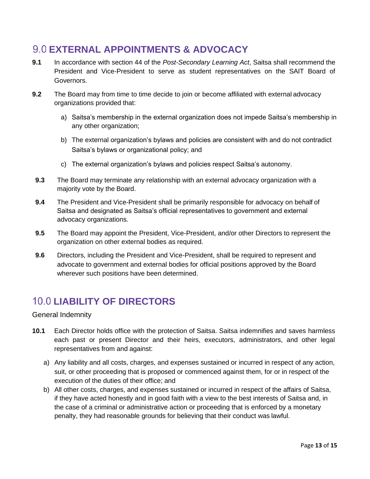### <span id="page-12-0"></span>**EXTERNAL APPOINTMENTS & ADVOCACY**

- **9.1** In accordance with section 44 of the *Post-Secondary Learning Act*, Saitsa shall recommend the President and Vice-President to serve as student representatives on the SAIT Board of Governors.
- **9.2** The Board may from time to time decide to join or become affiliated with external advocacy organizations provided that:
	- a) Saitsa's membership in the external organization does not impede Saitsa's membership in any other organization;
	- b) The external organization's bylaws and policies are consistent with and do not contradict Saitsa's bylaws or organizational policy; and
	- c) The external organization's bylaws and policies respect Saitsa's autonomy.
- **9.3** The Board may terminate any relationship with an external advocacy organization with a majority vote by the Board.
- **9.4** The President and Vice-President shall be primarily responsible for advocacy on behalf of Saitsa and designated as Saitsa's official representatives to government and external advocacy organizations.
- **9.5** The Board may appoint the President, Vice-President, and/or other Directors to represent the organization on other external bodies as required.
- **9.6** Directors, including the President and Vice-President, shall be required to represent and advocate to government and external bodies for official positions approved by the Board wherever such positions have been determined.

# <span id="page-12-1"></span>**10.0 LIABILITY OF DIRECTORS**

### General Indemnity

- **10.1** Each Director holds office with the protection of Saitsa. Saitsa indemnifies and saves harmless each past or present Director and their heirs, executors, administrators, and other legal representatives from and against:
	- a) Any liability and all costs, charges, and expenses sustained or incurred in respect of any action, suit, or other proceeding that is proposed or commenced against them, for or in respect of the execution of the duties of their office; and
	- b) All other costs, charges, and expenses sustained or incurred in respect of the affairs of Saitsa, if they have acted honestly and in good faith with a view to the best interests of Saitsa and, in the case of a criminal or administrative action or proceeding that is enforced by a monetary penalty, they had reasonable grounds for believing that their conduct was lawful.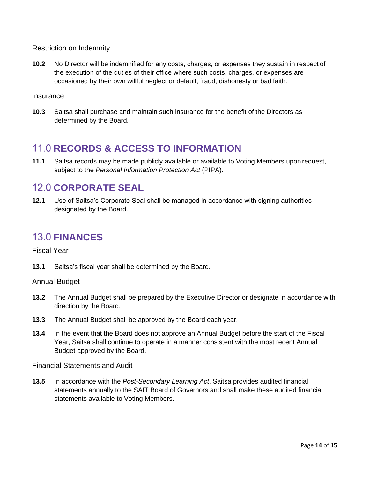Restriction on Indemnity

**10.2** No Director will be indemnified for any costs, charges, or expenses they sustain in respect of the execution of the duties of their office where such costs, charges, or expenses are occasioned by their own willful neglect or default, fraud, dishonesty or bad faith.

#### **Insurance**

**10.3** Saitsa shall purchase and maintain such insurance for the benefit of the Directors as determined by the Board.

### <span id="page-13-0"></span>**11.0 RECORDS & ACCESS TO INFORMATION**

**11.1** Saitsa records may be made publicly available or available to Voting Members upon request, subject to the *Personal Information Protection Act* (PIPA).

### <span id="page-13-1"></span>**12.0 CORPORATE SEAL**

**12.1** Use of Saitsa's Corporate Seal shall be managed in accordance with signing authorities designated by the Board.

# <span id="page-13-2"></span>**FINANCES**

Fiscal Year

**13.1** Saitsa's fiscal year shall be determined by the Board.

Annual Budget

- **13.2** The Annual Budget shall be prepared by the Executive Director or designate in accordance with direction by the Board.
- **13.3** The Annual Budget shall be approved by the Board each year.
- **13.4** In the event that the Board does not approve an Annual Budget before the start of the Fiscal Year, Saitsa shall continue to operate in a manner consistent with the most recent Annual Budget approved by the Board.

Financial Statements and Audit

**13.5** In accordance with the *Post-Secondary Learning Act*, Saitsa provides audited financial statements annually to the SAIT Board of Governors and shall make these audited financial statements available to Voting Members.